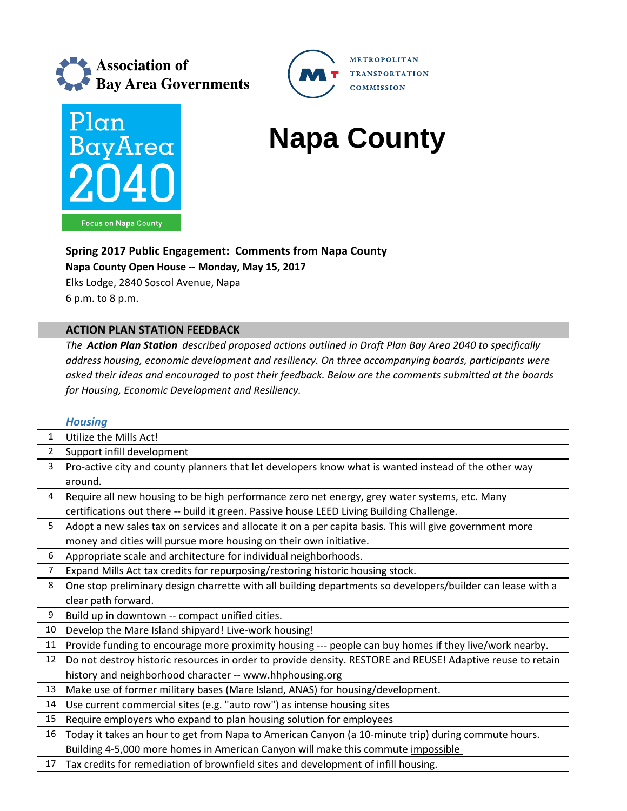



# **Napa County**

**METROPOLITAN** 

**TRANSPORTATION COMMISSION** 

## **Spring 2017 Public Engagement: Comments from Napa County**

**Napa County Open House ‐‐ Monday, May 15, 2017**

Elks Lodge, 2840 Soscol Avenue, Napa 6 p.m. to 8 p.m.

## **ACTION PLAN STATION FEEDBACK**

*The Action Plan Station described proposed actions outlined in Draft Plan Bay Area 2040 to specifically address housing, economic development and resiliency. On three accompanying boards, participants were asked their ideas and encouraged to post their feedback. Below are the comments submitted at the boards for Housing, Economic Development and Resiliency.*

### *Housing*

|                | <u>TIUUSIIIU</u>                                                                                           |
|----------------|------------------------------------------------------------------------------------------------------------|
| $\mathbf{1}$   | Utilize the Mills Act!                                                                                     |
| $\overline{2}$ | Support infill development                                                                                 |
| 3              | Pro-active city and county planners that let developers know what is wanted instead of the other way       |
|                | around.                                                                                                    |
| 4              | Require all new housing to be high performance zero net energy, grey water systems, etc. Many              |
|                | certifications out there -- build it green. Passive house LEED Living Building Challenge.                  |
| 5              | Adopt a new sales tax on services and allocate it on a per capita basis. This will give government more    |
|                | money and cities will pursue more housing on their own initiative.                                         |
| 6              | Appropriate scale and architecture for individual neighborhoods.                                           |
| $\overline{7}$ | Expand Mills Act tax credits for repurposing/restoring historic housing stock.                             |
| 8              | One stop preliminary design charrette with all building departments so developers/builder can lease with a |
|                | clear path forward.                                                                                        |
| 9              | Build up in downtown -- compact unified cities.                                                            |
| 10             | Develop the Mare Island shipyard! Live-work housing!                                                       |
| 11             | Provide funding to encourage more proximity housing --- people can buy homes if they live/work nearby.     |
| 12             | Do not destroy historic resources in order to provide density. RESTORE and REUSE! Adaptive reuse to retain |
|                | history and neighborhood character -- www.hhphousing.org                                                   |
| 13             | Make use of former military bases (Mare Island, ANAS) for housing/development.                             |
| 14             | Use current commercial sites (e.g. "auto row") as intense housing sites                                    |
| 15             | Require employers who expand to plan housing solution for employees                                        |
| 16             | Today it takes an hour to get from Napa to American Canyon (a 10-minute trip) during commute hours.        |
|                | Building 4-5,000 more homes in American Canyon will make this commute impossible                           |
| 17             | Tax credits for remediation of brownfield sites and development of infill housing.                         |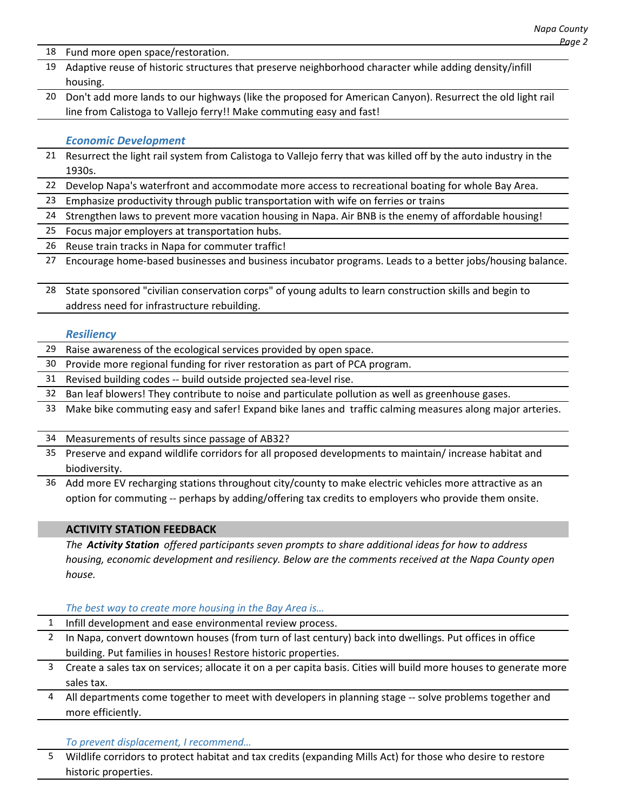- 18 Fund more open space/restoration.
- 19 Adaptive reuse of historic structures that preserve neighborhood character while adding density/infill housing.
- 20 Don't add more lands to our highways (like the proposed for American Canyon). Resurrect the old light rail line from Calistoga to Vallejo ferry!! Make commuting easy and fast!

#### *Economic Development*

- 21 Resurrect the light rail system from Calistoga to Vallejo ferry that was killed off by the auto industry in the 1930s.
- 22 Develop Napa's waterfront and accommodate more access to recreational boating for whole Bay Area.
- 23 Emphasize productivity through public transportation with wife on ferries or trains
- 24 Strengthen laws to prevent more vacation housing in Napa. Air BNB is the enemy of affordable housing!
- 25 Focus major employers at transportation hubs.
- 26 Reuse train tracks in Napa for commuter traffic!
- 27 Encourage home‐based businesses and business incubator programs. Leads to a better jobs/housing balance.
- 28 State sponsored "civilian conservation corps" of young adults to learn construction skills and begin to address need for infrastructure rebuilding.

#### *Resiliency*

- 29 Raise awareness of the ecological services provided by open space.
- 30 Provide more regional funding for river restoration as part of PCA program.
- 31 Revised building codes ‐‐ build outside projected sea‐level rise.
- 32 Ban leaf blowers! They contribute to noise and particulate pollution as well as greenhouse gases.
- 33 Make bike commuting easy and safer! Expand bike lanes and traffic calming measures along major arteries.
- 34 Measurements of results since passage of AB32?
- 35 Preserve and expand wildlife corridors for all proposed developments to maintain/ increase habitat and biodiversity.
- 36 Add more EV recharging stations throughout city/county to make electric vehicles more attractive as an option for commuting ‐‐ perhaps by adding/offering tax credits to employers who provide them onsite.

#### **ACTIVITY STATION FEEDBACK**

*The Activity Station offered participants seven prompts to share additional ideas for how to address housing, economic development and resiliency. Below are the comments received at the Napa County open house.*

#### *The best way to create more housing in the Bay Area is…*

- 1 Infill development and ease environmental review process. In Napa, convert downtown houses (from turn of last century) back into dwellings. Put offices in office building. Put families in houses! Restore historic properties. 3 Create a sales tax on services; allocate it on a per capita basis. Cities will build more houses to generate more
- sales tax.
- All departments come together to meet with developers in planning stage -- solve problems together and more efficiently.

#### *To prevent displacement, I recommend…*

5 Wildlife corridors to protect habitat and tax credits (expanding Mills Act) for those who desire to restore historic properties.